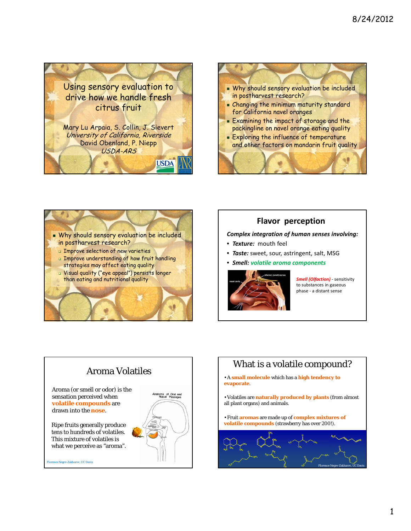





## **Flavor** perception

#### *Complex integration of human senses involving:*

- *Texture:* mouth feel
- *Taste:* sweet, sour, astringent, salt, MSG
- *Smell: volatile aroma components*



*Smell (Olfaction)* ‐ sensitivity to substances in gaseous phase ‐ a distant sense



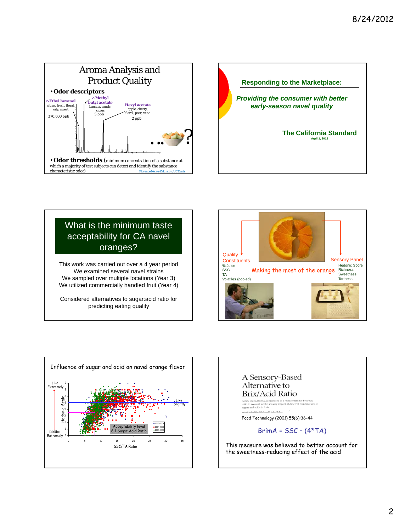



# What is the minimum taste acceptability for CA navel oranges?

This work was carried out over a 4 year period We examined several navel strains We sampled over multiple locations (Year 3) We utilized commercially handled fruit (Year 4)

Considered alternatives to sugar:acid ratio for predicting eating quality





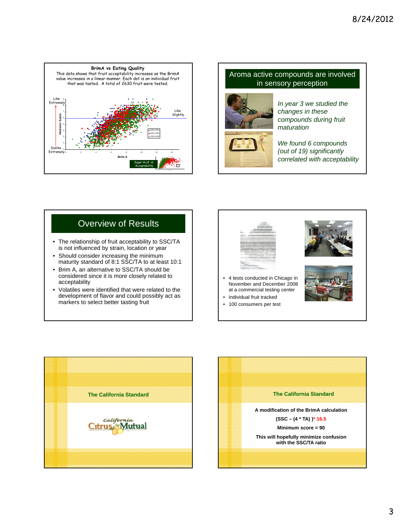

### Aroma active compounds are involved in sensory perception



*In year 3 we studied the changes in these compounds during fruit maturation*

*We found 6 compounds (out of 19) significantly correlated with acceptability*

# Overview of Results

- The relationship of fruit acceptability to SSC/TA is not influenced by strain, location or year
- Should consider increasing the minimum maturity standard of 8:1 SSC/TA to at least 10:1
- Brim A, an alternative to SSC/TA should be considered since it is more closely related to acceptability
- Volatiles were identified that were related to the development of flavor and could possibly act as markers to select better tasting fruit



November and December 2008 at a commercial testing center

• Individual fruit tracked • 100 consumers per test







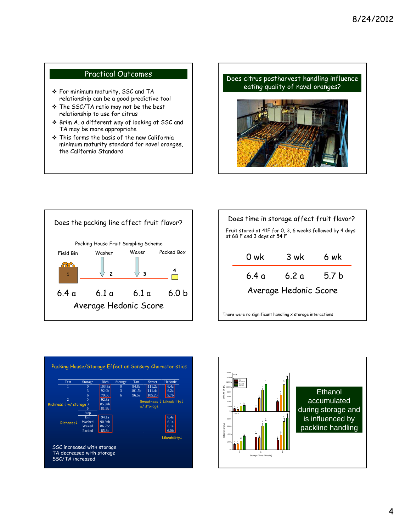## Practical Outcomes

- For minimum maturity, SSC and TA relationship can be a good predictive tool
- \* The SSC/TA ratio may not be the best relationship to use for citrus
- Brim A, a different way of looking at SSC and TA may be more appropriate
- This forms the basis of the new California minimum maturity standard for navel oranges, the California Standard





| Does time in storage affect fruit flavor? |  |  |  |  |
|-------------------------------------------|--|--|--|--|
|                                           |  |  |  |  |
|                                           |  |  |  |  |
|                                           |  |  |  |  |
| Average Hedonic Score                     |  |  |  |  |
|                                           |  |  |  |  |
|                                           |  |  |  |  |



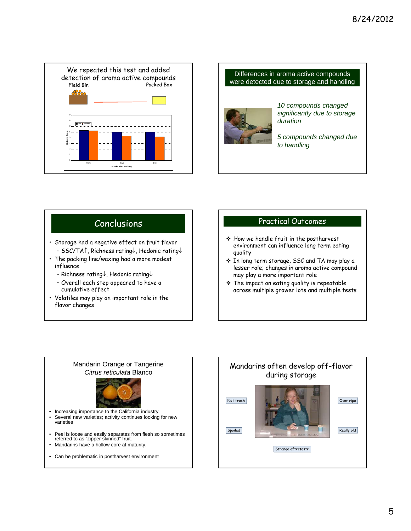



- Storage had a negative effect on fruit flavor - SSC/TA $\uparrow$ , Richness rating $\downarrow$ , Hedonic rating $\downarrow$
- The packing line/waxing had a more modest influence
	- Richness rating $\downarrow$ , Hedonic rating $\downarrow$
	- Overall each step appeared to have a cumulative effect
- Volatiles may play an important role in the flavor changes

## Conclusions **Practical Outcomes**

- How we handle fruit in the postharvest environment can influence long term eating quality
- In long term storage, SSC and TA may play a lesser role; changes in aroma active compound may play a more important role
- $\div$  The impact on eating quality is repeatable across multiple grower lots and multiple tests



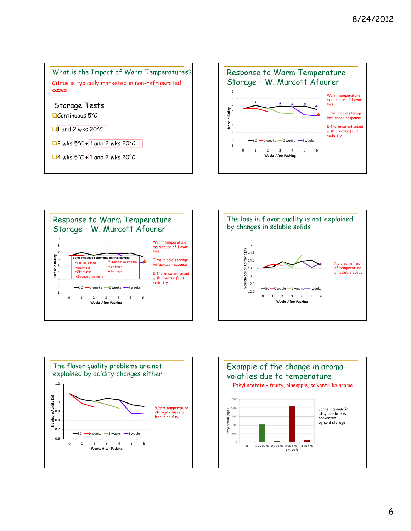









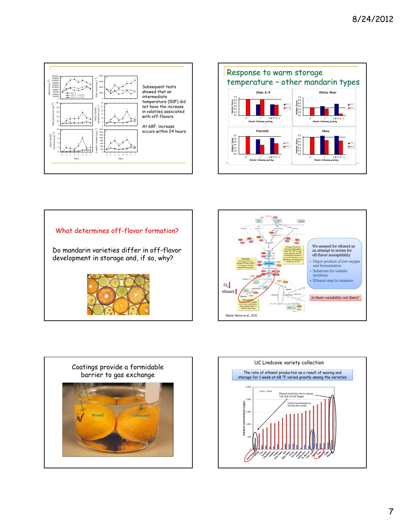